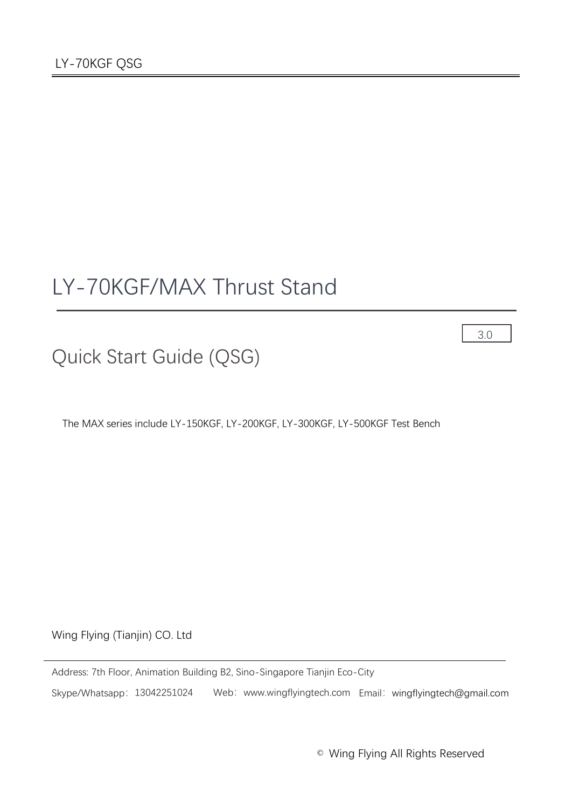# LY-70KGF/MAX Thrust Stand

3.0

Quick Start Guide (QSG)

The MAX series include LY-150KGF, LY-200KGF, LY-300KGF, LY-500KGF Test Bench

Wing Flying (Tianjin) CO. Ltd

Address: 7th Floor, Animation Building B2, Sino-Singapore Tianjin Eco-City Skype/Whatsapp: 13042251024 Web: www.wingflyingtech.com Email: wingflyingtech@gmail.com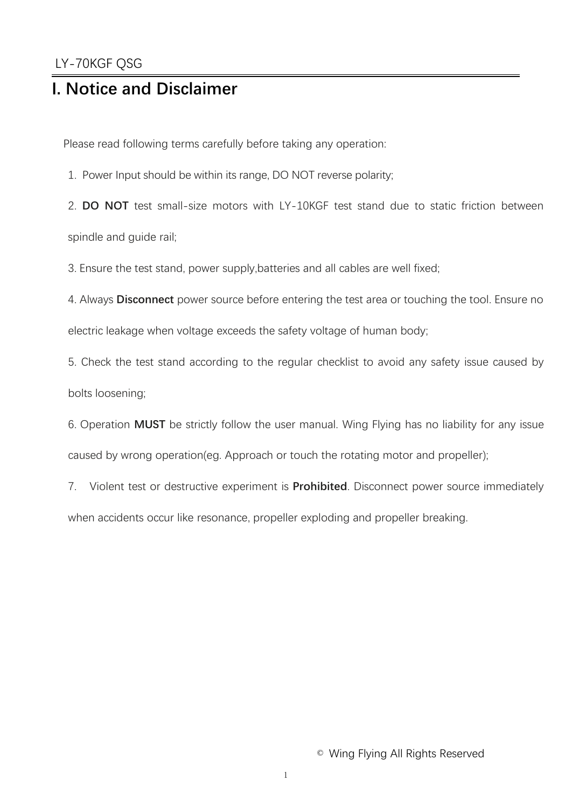### **I. Notice and Disclaimer**

Please read following terms carefully before taking any operation:

1. Power Input should be within its range, DO NOT reverse polarity;

2. **DO NOT** test small-size motors with LY-10KGF test stand due to static friction between

spindle and guide rail;

3. Ensure the test stand, power supply,batteries and all cables are well fixed;

4. Always **Disconnect** power source before entering the test area or touching the tool. Ensure no

electric leakage when voltage exceeds the safety voltage of human body;

5. Check the test stand according to the regular checklist to avoid any safety issue caused by bolts loosening;

6. Operation **MUST** be strictly follow the user manual. Wing Flying has no liability for any issue caused by wrong operation(eg. Approach or touch the rotating motor and propeller);

7. Violent test or destructive experiment is **Prohibited**. Disconnect power source immediately when accidents occur like resonance, propeller exploding and propeller breaking.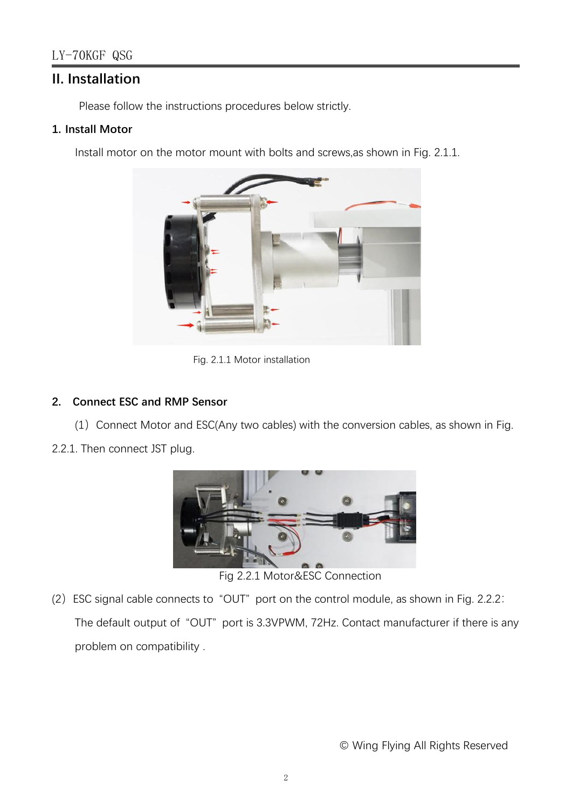#### **II. Installation**

Please follow the instructions procedures below strictly.

#### **1. Install Motor**

Install motor on the motor mount with bolts and screws,as shown in Fig. 2.1.1.



Fig. 2.1.1 Motor installation

#### **2. Connect ESC and RMP Sensor**

(1) Connect Motor and ESC(Any two cables) with the conversion cables, as shown in Fig.

2.2.1. Then connect JST plug.



Fig 2.2.1 Motor&ESC Connection

(2)ESC signal cable connects to "OUT" port on the control module, as shown in Fig. 2.2.2: The default output of "OUT" port is 3.3VPWM, 72Hz. Contact manufacturer if there is any problem on compatibility .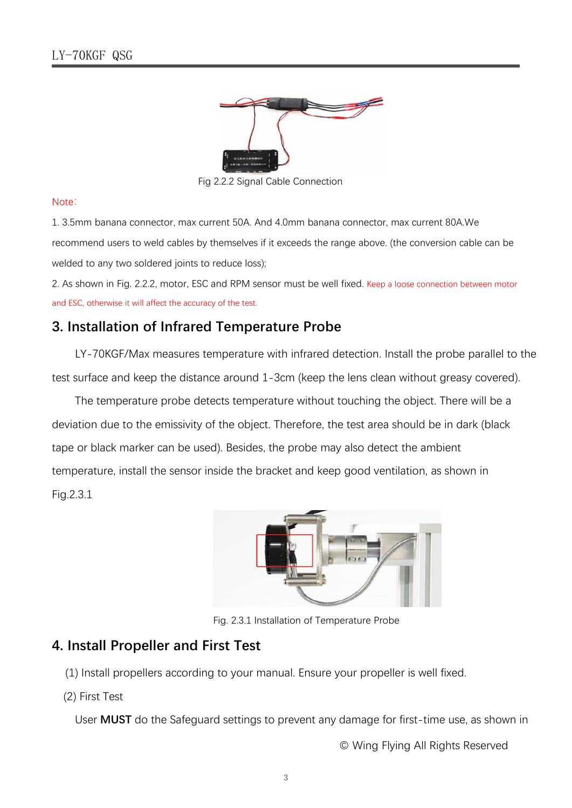

Fig 2.2.2 Signal Cable Connection

#### Note:

1. 3.5mm banana connector, max current 50A. And 4.0mm banana connector, max current 80A.We recommend users to weld cables by themselves if it exceeds the range above. (the conversion cable can be welded to any two soldered joints to reduce loss);

2. As shown in Fig. 2.2.2, motor, ESC and RPM sensor must be well fixed. Keep a loose connection between motor and ESC, otherwise it will affect the accuracy of the test.

#### **3. Installation of Infrared Temperature Probe**

LY-70KGF/Max measures temperature with infrared detection. Install the probe parallel to the test surface and keep the distance around 1-3cm (keep the lens clean without greasy covered).

The temperature probe detects temperature without touching the object. There will be a deviation due to the emissivity of the object. Therefore, the test area should be in dark (black tape or black marker can be used). Besides, the probe may also detect the ambient temperature, install the sensor inside the bracket and keep good ventilation, as shown in Fig.2.3.1



Fig. 2.3.1 Installation of Temperature Probe

#### **4. Install Propeller and First Test**

(1) Install propellers according to your manual. Ensure your propeller is well fixed.

(2) First Test

User **MUST** do the Safeguard settings to prevent any damage for first-time use, as shown in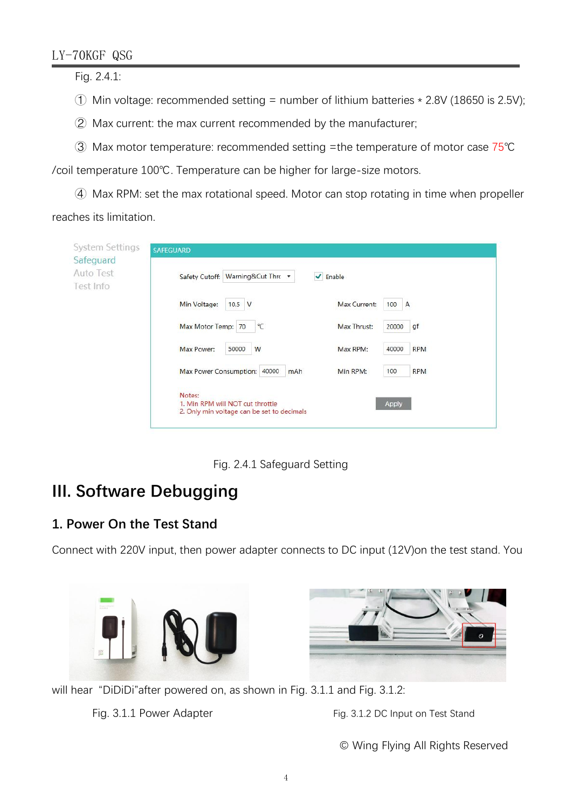#### LY-70KGF QSG

Fig. 2.4.1:

- $\circled{1}$  Min voltage: recommended setting = number of lithium batteries  $*$  2.8V (18650 is 2.5V);
- ② Max current: the max current recommended by the manufacturer;
- ③ Max motor temperature: recommended setting =the temperature of motor case 75℃

/coil temperature 100℃. Temperature can be higher for large-size motors.

④ Max RPM: set the max rotational speed. Motor can stop rotating in time when propeller

reaches its limitation.

| System Settings<br>Safeguard | <b>SAFEGUARD</b>                                                                                  |  |  |  |  |
|------------------------------|---------------------------------------------------------------------------------------------------|--|--|--|--|
| Auto Test<br>Test Info       | Safety Cutoff: Warning&Cut Thro<br>$\blacktriangleright$ Enable                                   |  |  |  |  |
|                              | Min Voltage:<br>Max Current:<br>$10.5$ V<br>100<br>A                                              |  |  |  |  |
|                              | Max Motor Temp: 70<br>°C<br>Max Thrust:<br>gf<br>20000                                            |  |  |  |  |
|                              | Max Power:<br>50000<br>W<br>Max RPM:<br>40000<br><b>RPM</b>                                       |  |  |  |  |
|                              | Max Power Consumption: 40000<br>100<br><b>RPM</b><br>Min RPM:<br>mAh                              |  |  |  |  |
|                              | Notes:<br>1. Min RPM will NOT cut throttle<br>Apply<br>2. Only min voltage can be set to decimals |  |  |  |  |

Fig. 2.4.1 Safeguard Setting

# **III. Software Debugging**

### **1. Power On the Test Stand**

Connect with 220V input, then power adapter connects to DC input (12V)on the test stand. You





will hear "DiDiDi" after powered on, as shown in Fig. 3.1.1 and Fig. 3.1.2:

Fig. 3.1.1 Power Adapter Fig. 3.1.2 DC Input on Test Stand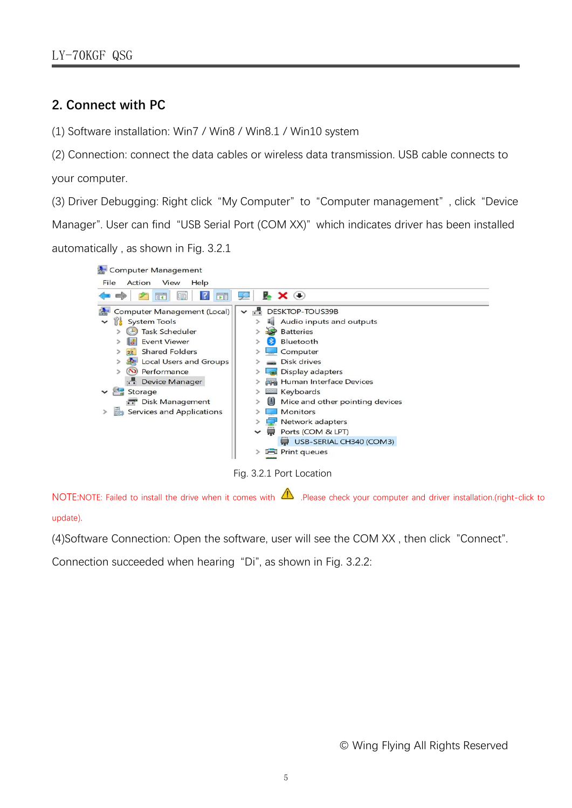#### **2. Connect with PC**

(1) Software installation: Win7 / Win8 / Win8.1 / Win10 system

(2) Connection: connect the data cables or wireless data transmission. USB cable connects to your computer.

(3) Driver Debugging: Right click "My Computer" to "Computer management" , click "Device Manager". User can find "USB Serial Port (COM XX)" which indicates driver has been installed automatically , as shown in Fig. 3.2.1



Fig. 3.2.1 Port Location

NOTE:NOTE: Failed to install the drive when it comes with  $\Delta$  .Please check your computer and driver installation.(right-click to update).

(4)Software Connection: Open the software, user will see the COM XX , then click "Connect".

Connection succeeded when hearing "Di", as shown in Fig. 3.2.2: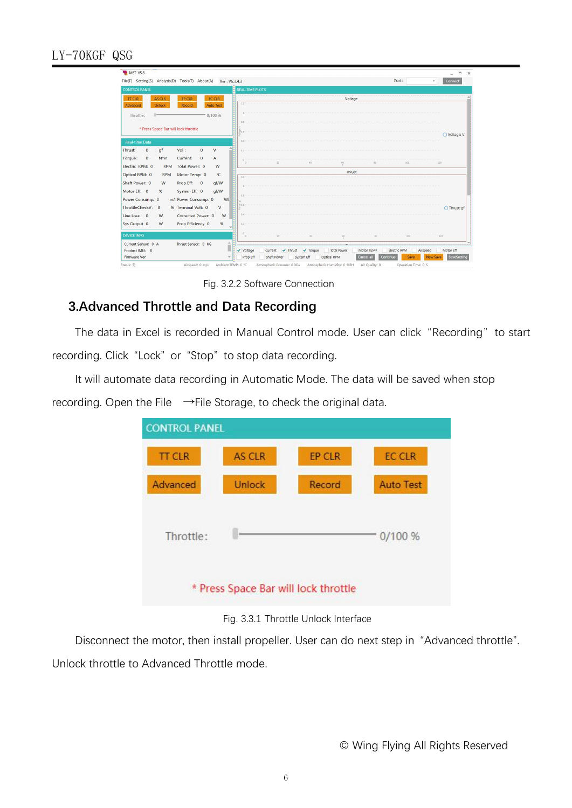#### LY-70KGF QSG

| <b>MET-V5.3</b>                                                    |                                                                                                                            | $\times$<br>$\Box$<br>$\sim$ |
|--------------------------------------------------------------------|----------------------------------------------------------------------------------------------------------------------------|------------------------------|
| File(F) Setting(S) Analysis(D) Tools(T) About(A)<br>Ver: V5.3.4.3  | Port:<br>$\check{}$                                                                                                        | Connect                      |
| <b>CONTROL PANEL</b>                                               | <b>REAL-TIME PLOTS</b>                                                                                                     |                              |
| AS CLR<br><b>TT CLR</b><br>EP CLR<br><b>EC CLR</b>                 | Voltage                                                                                                                    |                              |
| <b>Unlock</b><br>Record<br><b>Auto Test</b><br>Advanced            | 1.2                                                                                                                        |                              |
| Throttle:<br>0/100%                                                |                                                                                                                            |                              |
|                                                                    |                                                                                                                            |                              |
| * Press Space Bar will lock throttle                               | 70.6                                                                                                                       | ◯ Voltage: V                 |
| <b>Real-time Data</b>                                              | 0.4                                                                                                                        |                              |
| $\mathbf{0}$<br>qf<br>Vol:<br>$\mathbf{0}$<br>V<br>Thrust:         | 0.2                                                                                                                        |                              |
| $\mathbf{0}$<br>$\mathbf{0}$<br>Torque:<br>Current:<br>$N*m$<br>A  |                                                                                                                            |                              |
| Electric RPM: 0<br>Total Power: 0<br>W<br><b>RPM</b>               | $\frac{50}{t}$<br>20<br>50<br>300                                                                                          | 120                          |
| Optical RPM: 0<br>Motor Temp: 0<br><b>RPM</b><br>°C                | Thrust                                                                                                                     |                              |
| Shaft Power: 0<br>W<br>Prop Eff: 0<br>qf/W                         |                                                                                                                            |                              |
| Motor Eff: 0<br>System Eff: 0<br>qf/W<br>%                         |                                                                                                                            |                              |
| Power Consump: 0<br>m/ Power Consump: 0<br>WI                      |                                                                                                                            |                              |
| ThrottleCheckV: 0<br>% Terminal Volt: 0<br>V                       |                                                                                                                            | ○ Thrust: gf                 |
| Corrected Power: 0<br>Line Loss: 0<br>W<br>W                       |                                                                                                                            |                              |
| Prop Efficiency 0<br>%<br>Sys Output 0<br>W                        | 0.7                                                                                                                        |                              |
| <b>DEVICE INFO</b>                                                 |                                                                                                                            |                              |
| $\blacktriangle$                                                   | 20<br>no<br>100<br>00                                                                                                      | 120                          |
| Current Sensor: 0 A<br>Thrust Sensor: 0 KG<br>Π<br>Product IMEI: 0 | $\sqrt{}$ Torque<br>voltage<br>Current<br>$\sqrt{}$ Thrust<br><b>Total Power</b><br>Motor TEMP<br>Electric RPM<br>Airspeed | Motor Eff                    |
| Firmware Ver:                                                      | System Eff<br>Prop Eff<br>Shaft Power<br>Optical RPM<br>Cancel all<br>Continue<br>Save                                     | New Save<br>SaveSetting      |
| Status: 无<br>Ambient TEMP: 0 ℃<br>Airspeed: 0 m/s                  | Atmospheric Pressure: 0 kPa Atmospheric Humidity: 0 %RH<br>Air Quality: 0<br>Operation Time: 0 S                           |                              |

Fig. 3.2.2 Software Connection

#### **3.Advanced Throttle and Data Recording**

The data in Excel is recorded in Manual Control mode. User can click "Recording" to start recording. Click "Lock" or "Stop" to stop data recording.

It will automate data recording in Automatic Mode. The data will be saved when stop recording. Open the File  $\rightarrow$ File Storage, to check the original data.

| <b>CONTROL PANEL</b> |               |                                      |                  |
|----------------------|---------------|--------------------------------------|------------------|
| <b>TT CLR</b>        | <b>AS CLR</b> | EP CLR                               | <b>EC CLR</b>    |
| Advanced             | Unlock        | Record                               | <b>Auto Test</b> |
| Throttle:            |               |                                      | 0/100%           |
|                      |               | * Press Space Bar will lock throttle |                  |

Fig. 3.3.1 Throttle Unlock Interface

Disconnect the motor, then install propeller. User can do next step in "Advanced throttle". Unlock throttle to Advanced Throttle mode.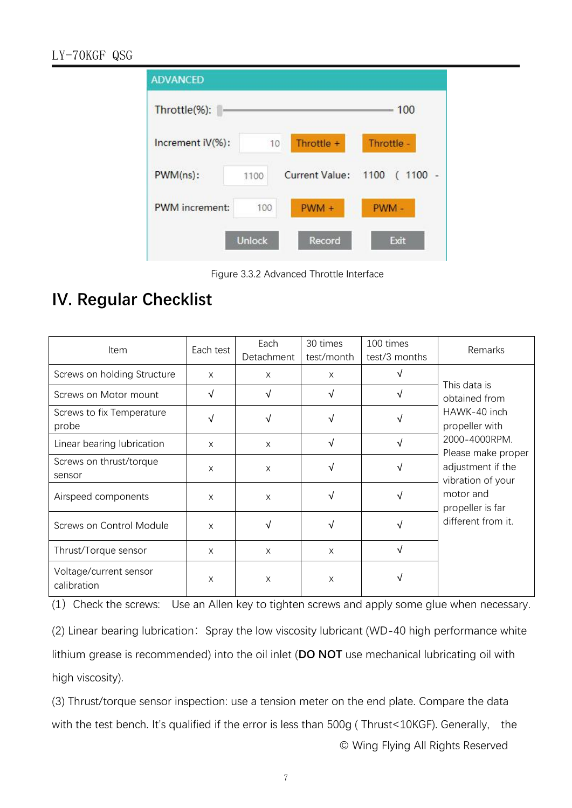| <b>ADVANCED</b>  |               |                     |                      |
|------------------|---------------|---------------------|----------------------|
| Throttle(%):     |               |                     | 100                  |
| Increment iV(%): | 10            | Throttle +          | Throttle -           |
| $PWM(ns)$ :      | 1100          | Current Value: 1100 | $1100 -$<br>$\left($ |
| PWM increment:   | 100           | PWM +               | PWM-                 |
|                  | <b>Unlock</b> | Record              | Exit                 |

Figure 3.3.2 Advanced Throttle Interface

## **IV. Regular Checklist**

| Item                                  | Each test  | Each       | 30 times   | 100 times     | Remarks                                                                                                                                                                                                 |
|---------------------------------------|------------|------------|------------|---------------|---------------------------------------------------------------------------------------------------------------------------------------------------------------------------------------------------------|
|                                       |            | Detachment | test/month | test/3 months |                                                                                                                                                                                                         |
| Screws on holding Structure           | X          | X          | $\times$   | N             | This data is<br>obtained from<br>HAWK-40 inch<br>propeller with<br>2000-4000RPM.<br>Please make proper<br>adjustment if the<br>vibration of your<br>motor and<br>propeller is far<br>different from it. |
| Screws on Motor mount                 | $\sqrt{ }$ | $\sqrt{ }$ | $\sqrt{}$  | $\sqrt{ }$    |                                                                                                                                                                                                         |
| Screws to fix Temperature<br>probe    | $\sqrt{ }$ | $\sqrt{ }$ |            |               |                                                                                                                                                                                                         |
| Linear bearing lubrication            | X          | X          | √          | $\sqrt{ }$    |                                                                                                                                                                                                         |
| Screws on thrust/torque<br>sensor     | X          | X          | √          | $\sqrt{ }$    |                                                                                                                                                                                                         |
| Airspeed components                   | X          | X          | √          | $\sqrt{ }$    |                                                                                                                                                                                                         |
| Screws on Control Module              | X          | $\sqrt{ }$ | √          | $\sqrt{ }$    |                                                                                                                                                                                                         |
| Thrust/Torque sensor                  | X          | X          | $\times$   | $\sqrt{ }$    |                                                                                                                                                                                                         |
| Voltage/current sensor<br>calibration | X          | X          | X          |               |                                                                                                                                                                                                         |

(1) Check the screws: Use an Allen key to tighten screws and apply some glue when necessary.

(2) Linear bearing lubrication: Spray the low viscosity lubricant (WD-40 high performance white lithium grease is recommended) into the oil inlet (**DO NOT** use mechanical lubricating oil with high viscosity).

(3) Thrust/torque sensor inspection: use a tension meter on the end plate. Compare the data with the test bench. It's qualified if the error is less than 500g (Thrust<10KGF). Generally, the